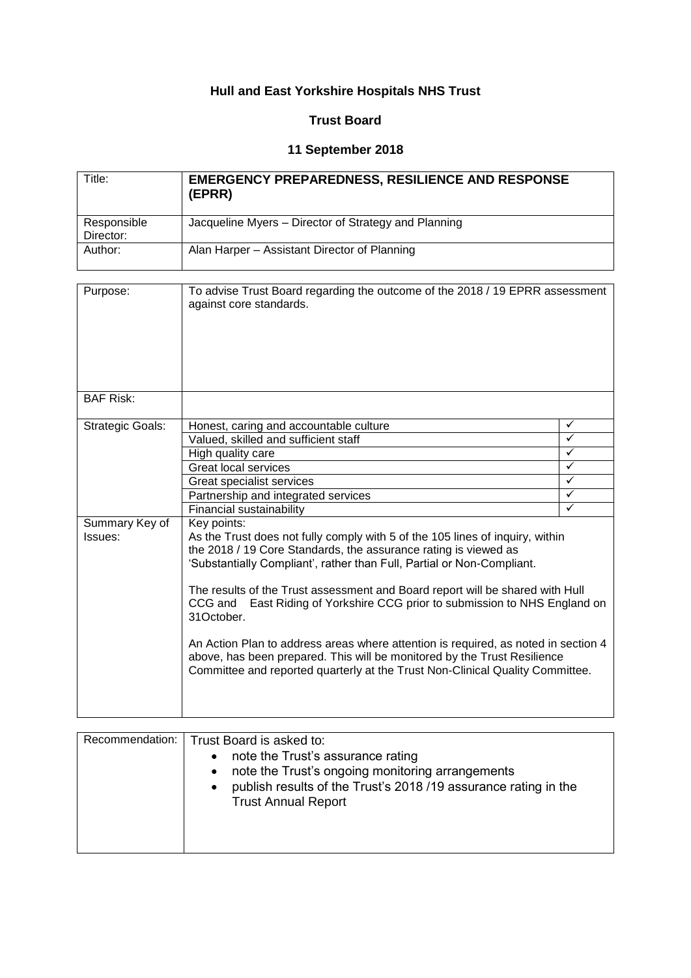# **Hull and East Yorkshire Hospitals NHS Trust**

## **Trust Board**

## **11 September 2018**

| Title:      | <b>EMERGENCY PREPAREDNESS, RESILIENCE AND RESPONSE</b><br>(EPRR) |
|-------------|------------------------------------------------------------------|
| Responsible | Jacqueline Myers – Director of Strategy and Planning             |
| Director:   |                                                                  |
| Author:     | Alan Harper – Assistant Director of Planning                     |
|             |                                                                  |

| Purpose:                  | To advise Trust Board regarding the outcome of the 2018 / 19 EPRR assessment<br>against core standards.                                                                                                                                                                                                                                                                                                                                                                                                                                                                                                                                                                   |              |
|---------------------------|---------------------------------------------------------------------------------------------------------------------------------------------------------------------------------------------------------------------------------------------------------------------------------------------------------------------------------------------------------------------------------------------------------------------------------------------------------------------------------------------------------------------------------------------------------------------------------------------------------------------------------------------------------------------------|--------------|
| <b>BAF Risk:</b>          |                                                                                                                                                                                                                                                                                                                                                                                                                                                                                                                                                                                                                                                                           |              |
| <b>Strategic Goals:</b>   | Honest, caring and accountable culture                                                                                                                                                                                                                                                                                                                                                                                                                                                                                                                                                                                                                                    | ✓            |
|                           | Valued, skilled and sufficient staff                                                                                                                                                                                                                                                                                                                                                                                                                                                                                                                                                                                                                                      | ✓            |
|                           | High quality care                                                                                                                                                                                                                                                                                                                                                                                                                                                                                                                                                                                                                                                         | ✓            |
|                           | Great local services                                                                                                                                                                                                                                                                                                                                                                                                                                                                                                                                                                                                                                                      | ✓            |
|                           | Great specialist services                                                                                                                                                                                                                                                                                                                                                                                                                                                                                                                                                                                                                                                 | $\checkmark$ |
|                           | Partnership and integrated services                                                                                                                                                                                                                                                                                                                                                                                                                                                                                                                                                                                                                                       | $\checkmark$ |
|                           | Financial sustainability                                                                                                                                                                                                                                                                                                                                                                                                                                                                                                                                                                                                                                                  | ✓            |
| Summary Key of<br>Issues: | Key points:<br>As the Trust does not fully comply with 5 of the 105 lines of inquiry, within<br>the 2018 / 19 Core Standards, the assurance rating is viewed as<br>'Substantially Compliant', rather than Full, Partial or Non-Compliant.<br>The results of the Trust assessment and Board report will be shared with Hull<br>CCG and East Riding of Yorkshire CCG prior to submission to NHS England on<br>31October.<br>An Action Plan to address areas where attention is required, as noted in section 4<br>above, has been prepared. This will be monitored by the Trust Resilience<br>Committee and reported quarterly at the Trust Non-Clinical Quality Committee. |              |

| Recommendation:   Trust Board is asked to:                     |
|----------------------------------------------------------------|
| note the Trust's assurance rating                              |
| note the Trust's ongoing monitoring arrangements               |
| publish results of the Trust's 2018/19 assurance rating in the |
| <b>Trust Annual Report</b>                                     |
|                                                                |
|                                                                |
|                                                                |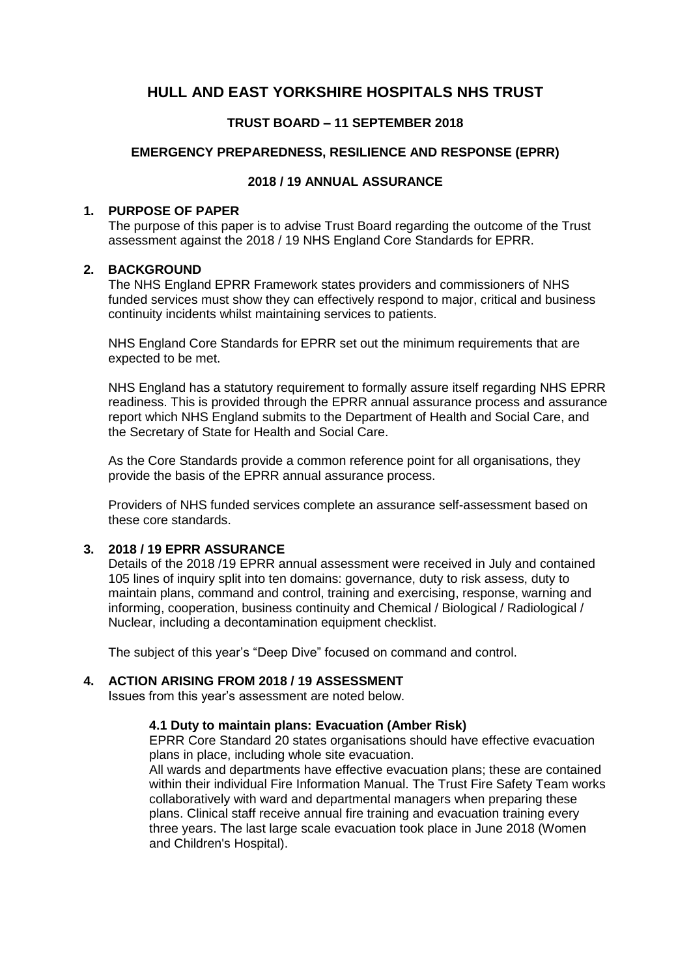## **HULL AND EAST YORKSHIRE HOSPITALS NHS TRUST**

## **TRUST BOARD – 11 SEPTEMBER 2018**

## **EMERGENCY PREPAREDNESS, RESILIENCE AND RESPONSE (EPRR)**

#### **2018 / 19 ANNUAL ASSURANCE**

## **1. PURPOSE OF PAPER**

The purpose of this paper is to advise Trust Board regarding the outcome of the Trust assessment against the 2018 / 19 NHS England Core Standards for EPRR.

#### **2. BACKGROUND**

The NHS England EPRR Framework states providers and commissioners of NHS funded services must show they can effectively respond to major, critical and business continuity incidents whilst maintaining services to patients.

NHS England Core Standards for EPRR set out the minimum requirements that are expected to be met.

NHS England has a statutory requirement to formally assure itself regarding NHS EPRR readiness. This is provided through the EPRR annual assurance process and assurance report which NHS England submits to the Department of Health and Social Care, and the Secretary of State for Health and Social Care.

As the Core Standards provide a common reference point for all organisations, they provide the basis of the EPRR annual assurance process.

Providers of NHS funded services complete an assurance self-assessment based on these core standards.

## **3. 2018 / 19 EPRR ASSURANCE**

Details of the 2018 /19 EPRR annual assessment were received in July and contained 105 lines of inquiry split into ten domains: governance, duty to risk assess, duty to maintain plans, command and control, training and exercising, response, warning and informing, cooperation, business continuity and Chemical / Biological / Radiological / Nuclear, including a decontamination equipment checklist.

The subject of this year's "Deep Dive" focused on command and control.

## **4. ACTION ARISING FROM 2018 / 19 ASSESSMENT**

Issues from this year's assessment are noted below.

#### **4.1 Duty to maintain plans: Evacuation (Amber Risk)**

EPRR Core Standard 20 states organisations should have effective evacuation plans in place, including whole site evacuation.

All wards and departments have effective evacuation plans; these are contained within their individual Fire Information Manual. The Trust Fire Safety Team works collaboratively with ward and departmental managers when preparing these plans. Clinical staff receive annual fire training and evacuation training every three years. The last large scale evacuation took place in June 2018 (Women and Children's Hospital).